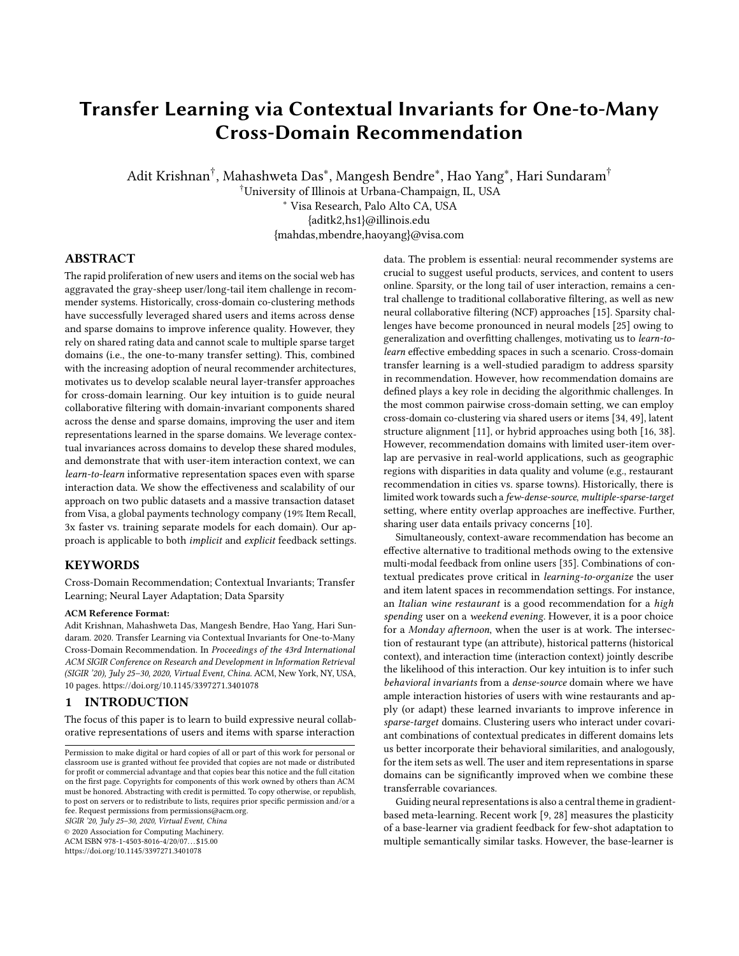# <span id="page-0-1"></span><span id="page-0-0"></span>Transfer Learning via Contextual Invariants for One-to-Many Cross-Domain Recommendation

Adit Krishnan $^\dagger$ , Mahashweta Das $^*$ , Mangesh Bendre $^*$ , Hao Yang $^*$ , Hari Sundaram $^\dagger$ 

†University of Illinois at Urbana-Champaign, IL, USA <sup>∗</sup> Visa Research, Palo Alto CA, USA

{aditk2,hs1}@illinois.edu

{mahdas,mbendre,haoyang}@visa.com

# ABSTRACT

The rapid proliferation of new users and items on the social web has aggravated the gray-sheep user/long-tail item challenge in recommender systems. Historically, cross-domain co-clustering methods have successfully leveraged shared users and items across dense and sparse domains to improve inference quality. However, they rely on shared rating data and cannot scale to multiple sparse target domains (i.e., the one-to-many transfer setting). This, combined with the increasing adoption of neural recommender architectures, motivates us to develop scalable neural layer-transfer approaches for cross-domain learning. Our key intuition is to guide neural collaborative filtering with domain-invariant components shared across the dense and sparse domains, improving the user and item representations learned in the sparse domains. We leverage contextual invariances across domains to develop these shared modules, and demonstrate that with user-item interaction context, we can learn-to-learn informative representation spaces even with sparse interaction data. We show the effectiveness and scalability of our approach on two public datasets and a massive transaction dataset from Visa, a global payments technology company (19% Item Recall, 3x faster vs. training separate models for each domain). Our approach is applicable to both implicit and explicit feedback settings.

# **KEYWORDS**

Cross-Domain Recommendation; Contextual Invariants; Transfer Learning; Neural Layer Adaptation; Data Sparsity

#### ACM Reference Format:

Adit Krishnan, Mahashweta Das, Mangesh Bendre, Hao Yang, Hari Sundaram. 2020. Transfer Learning via Contextual Invariants for One-to-Many Cross-Domain Recommendation. In Proceedings of the 43rd International ACM SIGIR Conference on Research and Development in Information Retrieval (SIGIR '20), July 25–30, 2020, Virtual Event, China. ACM, New York, NY, USA, [10](#page-0-0) pages.<https://doi.org/10.1145/3397271.3401078>

# 1 INTRODUCTION

The focus of this paper is to learn to build expressive neural collaborative representations of users and items with sparse interaction

SIGIR '20, July 25–30, 2020, Virtual Event, China

© 2020 Association for Computing Machinery.

ACM ISBN 978-1-4503-8016-4/20/07. . . \$15.00 <https://doi.org/10.1145/3397271.3401078>

data. The problem is essential: neural recommender systems are crucial to suggest useful products, services, and content to users online. Sparsity, or the long tail of user interaction, remains a central challenge to traditional collaborative filtering, as well as new neural collaborative filtering (NCF) approaches [\[15\]](#page-9-0). Sparsity challenges have become pronounced in neural models [\[25\]](#page-9-1) owing to generalization and overfitting challenges, motivating us to learn-tolearn effective embedding spaces in such a scenario. Cross-domain transfer learning is a well-studied paradigm to address sparsity in recommendation. However, how recommendation domains are defined plays a key role in deciding the algorithmic challenges. In the most common pairwise cross-domain setting, we can employ cross-domain co-clustering via shared users or items [\[34,](#page-9-2) [49\]](#page-9-3), latent structure alignment [\[11\]](#page-9-4), or hybrid approaches using both [\[16,](#page-9-5) [38\]](#page-9-6). However, recommendation domains with limited user-item overlap are pervasive in real-world applications, such as geographic regions with disparities in data quality and volume (e.g., restaurant recommendation in cities vs. sparse towns). Historically, there is limited work towards such a few-dense-source, multiple-sparse-target setting, where entity overlap approaches are ineffective. Further, sharing user data entails privacy concerns [\[10\]](#page-9-7).

Simultaneously, context-aware recommendation has become an effective alternative to traditional methods owing to the extensive multi-modal feedback from online users [\[35\]](#page-9-8). Combinations of contextual predicates prove critical in learning-to-organize the user and item latent spaces in recommendation settings. For instance, an Italian wine restaurant is a good recommendation for a high spending user on a weekend evening. However, it is a poor choice for a Monday afternoon, when the user is at work. The intersection of restaurant type (an attribute), historical patterns (historical context), and interaction time (interaction context) jointly describe the likelihood of this interaction. Our key intuition is to infer such behavioral invariants from a dense-source domain where we have ample interaction histories of users with wine restaurants and apply (or adapt) these learned invariants to improve inference in sparse-target domains. Clustering users who interact under covariant combinations of contextual predicates in different domains lets us better incorporate their behavioral similarities, and analogously, for the item sets as well. The user and item representations in sparse domains can be significantly improved when we combine these transferrable covariances.

Guiding neural representations is also a central theme in gradientbased meta-learning. Recent work [\[9,](#page-9-9) [28\]](#page-9-10) measures the plasticity of a base-learner via gradient feedback for few-shot adaptation to multiple semantically similar tasks. However, the base-learner is

Permission to make digital or hard copies of all or part of this work for personal or classroom use is granted without fee provided that copies are not made or distributed for profit or commercial advantage and that copies bear this notice and the full citation on the first page. Copyrights for components of this work owned by others than ACM must be honored. Abstracting with credit is permitted. To copy otherwise, or republish, to post on servers or to redistribute to lists, requires prior specific permission and/or a fee. Request permissions from permissions@acm.org.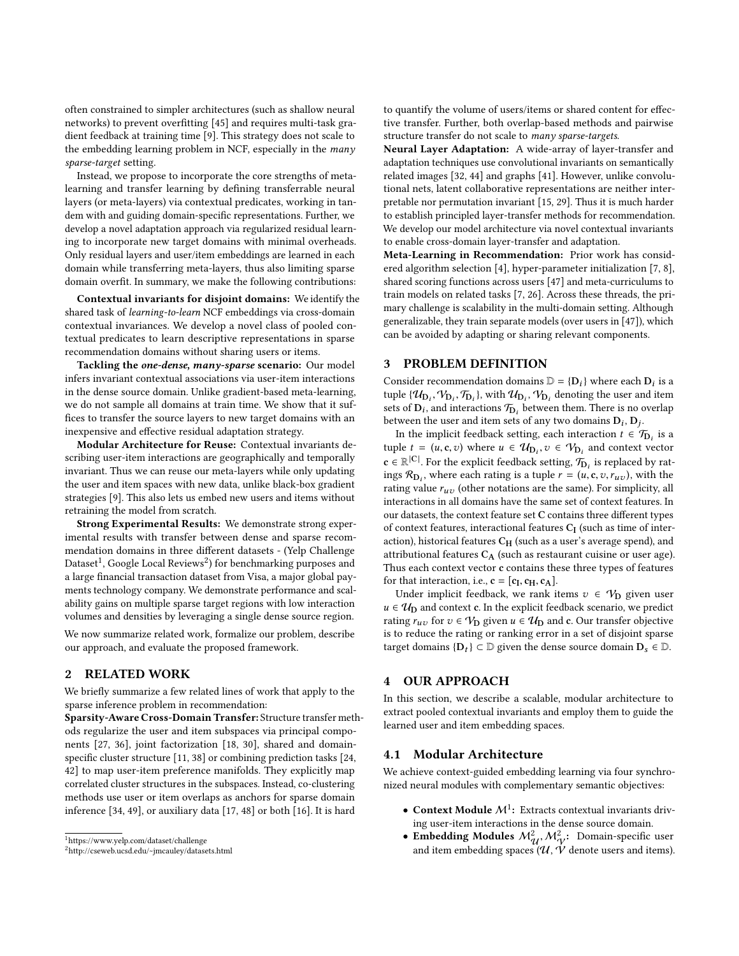often constrained to simpler architectures (such as shallow neural networks) to prevent overfitting [\[45\]](#page-9-11) and requires multi-task gradient feedback at training time [\[9\]](#page-9-9). This strategy does not scale to the embedding learning problem in NCF, especially in the many sparse-target setting.

Instead, we propose to incorporate the core strengths of metalearning and transfer learning by defining transferrable neural layers (or meta-layers) via contextual predicates, working in tandem with and guiding domain-specific representations. Further, we develop a novel adaptation approach via regularized residual learning to incorporate new target domains with minimal overheads. Only residual layers and user/item embeddings are learned in each domain while transferring meta-layers, thus also limiting sparse domain overfit. In summary, we make the following contributions:

Contextual invariants for disjoint domains: We identify the shared task of learning-to-learn NCF embeddings via cross-domain contextual invariances. We develop a novel class of pooled contextual predicates to learn descriptive representations in sparse recommendation domains without sharing users or items.

Tackling the one-dense, many-sparse scenario: Our model infers invariant contextual associations via user-item interactions in the dense source domain. Unlike gradient-based meta-learning, we do not sample all domains at train time. We show that it suffices to transfer the source layers to new target domains with an inexpensive and effective residual adaptation strategy.

Modular Architecture for Reuse: Contextual invariants describing user-item interactions are geographically and temporally invariant. Thus we can reuse our meta-layers while only updating the user and item spaces with new data, unlike black-box gradient strategies [\[9\]](#page-9-9). This also lets us embed new users and items without retraining the model from scratch.

Strong Experimental Results: We demonstrate strong experimental results with transfer between dense and sparse recommendation domains in three different datasets - (Yelp Challenge Dataset<sup>[1](#page-1-0)</sup>, Google Local Reviews<sup>[2](#page-1-1)</sup>) for benchmarking purposes and a large financial transaction dataset from Visa, a major global payments technology company. We demonstrate performance and scalability gains on multiple sparse target regions with low interaction volumes and densities by leveraging a single dense source region.

We now summarize related work, formalize our problem, describe our approach, and evaluate the proposed framework.

# 2 RELATED WORK

We briefly summarize a few related lines of work that apply to the sparse inference problem in recommendation:

Sparsity-Aware Cross-Domain Transfer: Structure transfer methods regularize the user and item subspaces via principal components [\[27,](#page-9-12) [36\]](#page-9-13), joint factorization [\[18,](#page-9-14) [30\]](#page-9-15), shared and domainspecific cluster structure [\[11,](#page-9-4) [38\]](#page-9-6) or combining prediction tasks [\[24,](#page-9-16) [42\]](#page-9-17) to map user-item preference manifolds. They explicitly map correlated cluster structures in the subspaces. Instead, co-clustering methods use user or item overlaps as anchors for sparse domain inference [\[34,](#page-9-2) [49\]](#page-9-3), or auxiliary data [\[17,](#page-9-18) [48\]](#page-9-19) or both [\[16\]](#page-9-5). It is hard

to quantify the volume of users/items or shared content for effective transfer. Further, both overlap-based methods and pairwise structure transfer do not scale to *many sparse-targets*.

Neural Layer Adaptation: A wide-array of layer-transfer and adaptation techniques use convolutional invariants on semantically related images [\[32,](#page-9-20) [44\]](#page-9-21) and graphs [\[41\]](#page-9-22). However, unlike convolutional nets, latent collaborative representations are neither interpretable nor permutation invariant [\[15,](#page-9-0) [29\]](#page-9-23). Thus it is much harder to establish principled layer-transfer methods for recommendation. We develop our model architecture via novel contextual invariants to enable cross-domain layer-transfer and adaptation.

Meta-Learning in Recommendation: Prior work has considered algorithm selection [\[4\]](#page-9-24), hyper-parameter initialization [\[7,](#page-9-25) [8\]](#page-9-26), shared scoring functions across users [\[47\]](#page-9-27) and meta-curriculums to train models on related tasks [\[7,](#page-9-25) [26\]](#page-9-28). Across these threads, the primary challenge is scalability in the multi-domain setting. Although generalizable, they train separate models (over users in [\[47\]](#page-9-27)), which can be avoided by adapting or sharing relevant components.

# 3 PROBLEM DEFINITION

Consider recommendation domains  $\mathbb{D} = {\{\mathbf{D}_i\}}$  where each  $\mathbf{D}_i$  is a type of  ${\mathcal{D}_n}$  and  ${\mathcal{D}_n}$  and  ${\mathcal{D}_n}$  are the user and item tuple  $\{\mathcal{U}_{D_i}, \mathcal{V}_{D_i}, \mathcal{T}_{D_i}\}$ , with  $\mathcal{U}_{D_i}, \mathcal{V}_{D_i}$  denoting the user and item<br>sets of D: and interactions  $\mathcal{T}_{\infty}$  between them. There is no overlap sets of  $D_i$ , and interactions  $\mathcal{T}_{D_i}$  between them. There is no overlap<br>between the user and item sets of any two domains  $D_i$ .  $D_i$ between the user and item sets of any two domains  $D_i$ ,  $D_j$ .<br>In the implicit foodback setting, each interaction  $t \in \mathcal{G}$ 

In the implicit feedback setting, each interaction  $t \in \mathcal{T}_{D_i}$  is a set  $t = (u, \mathbf{c}, u)$  where  $u \in \mathcal{U}_{D_i}$ ,  $v \in \mathcal{U}_{D_i}$  and context vectors tuple  $t = (u, \mathbf{c}, v)$  where  $u \in \mathcal{U}_{\mathbf{D}_i}, v \in \mathcal{V}_{\mathbf{D}_i}$  and context vector  $\mathbf{c} \in \mathbb{R}^{|\mathbf{C}|}$ . For the explicit feedback setting,  $\mathcal{T}_{\mathbf{D}_i}$  is replaced by rational points in  $\mathcal{C}_{\mathbf{D}_i}$  with the signal points of the signal points in  $\mathbf{c}$ ings  $\mathcal{R}_{D_i}$ , where each rating is a tuple  $r = (u, c, v, r_{uv})$ , with the rating value  $r_i$  (other potations are the same). For simplicity all rating value  $r_{uv}$  (other notations are the same). For simplicity, all interactions in all domains have the same set of context features. In our datasets, the context feature set C contains three different types of context features, interactional features  $C_I$  (such as time of interaction), historical features  $C_H$  (such as a user's average spend), and attributional features  $C_A$  (such as restaurant cuisine or user age). Thus each context vector c contains these three types of features for that interaction, i.e.,  $\mathbf{c} = [\mathbf{c}_I, \mathbf{c}_H, \mathbf{c}_A]$ .<br>
Under implicit feedback, we rank is

Under implicit feedback, we rank items  $v \in V_D$  given user  $u \in \mathcal{U}_D$  and context c. In the explicit feedback scenario, we predict rating  $r_{uv}$  for  $v \in V_D$  given  $u \in U_D$  and c. Our transfer objective is to reduce the rating or ranking error in a set of disjoint sparse target domains  $\{D_t\} \subset \mathbb{D}$  given the dense source domain  $D_s \in \mathbb{D}$ .

### 4 OUR APPROACH

In this section, we describe a scalable, modular architecture to extract pooled contextual invariants and employ them to guide the learned user and item embedding spaces.

### 4.1 Modular Architecture

We achieve context-guided embedding learning via four synchronized neural modules with complementary semantic objectives:

- Context Module  $M^1$ : Extracts contextual invariants driving user-item interactions in the dense source domain.
- Embedding Modules  $M_{\mathcal{U}}^2$ ,  $M_{\gamma}^2$ : Domain-specific user and item embedding spaces  $(\mathcal{U}, \dot{\mathcal{V}})$  denote users and items).

<span id="page-1-0"></span><sup>1</sup><https://www.yelp.com/dataset/challenge>

<span id="page-1-1"></span><sup>2</sup><http://cseweb.ucsd.edu/~jmcauley/datasets.html>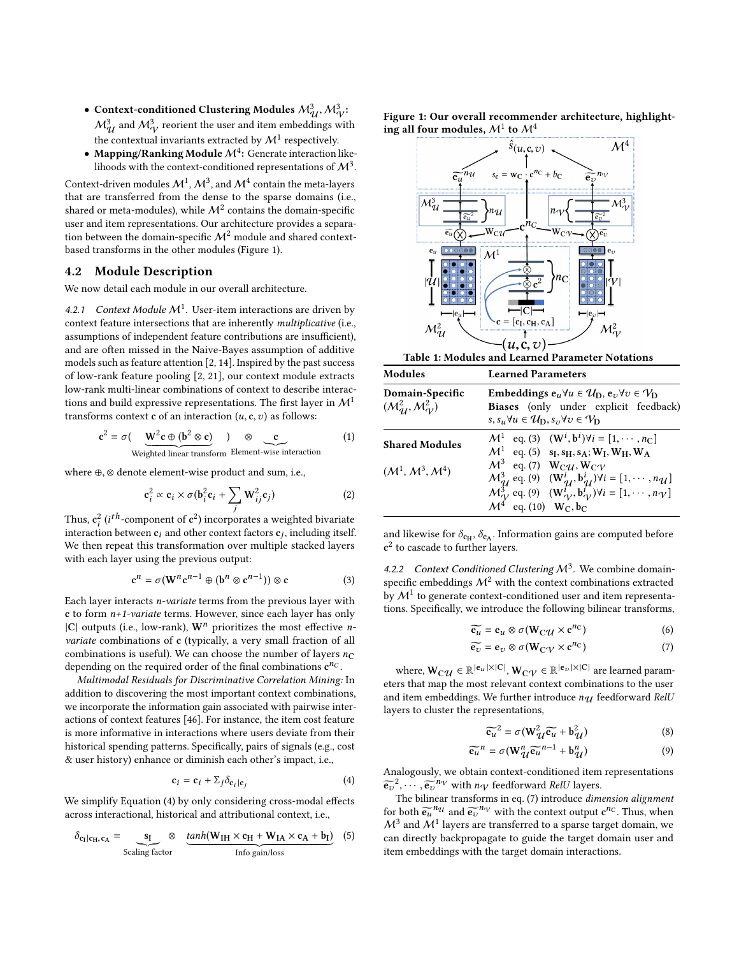- Context-conditioned Clustering Modules  $M_{\mathcal{U}}^3$ ,  $M_{\mathcal{V}}^3$  $\mathcal{M}_{\mathcal{U}}^{3}$  and  $\mathcal{M}_{\mathcal{V}}^{3}$  reorient the user and item embeddings with the contextual invariants extracted by  $\mathcal{M}^1$  respectively.
- Mapping/Ranking Module  $\mathcal{M}^4$ : Generate interaction likelihoods with the context-conditioned representations of  $\mathcal{M}^3.$

Context-driven modules  $\mathcal{M}^1$  ,  $\mathcal{M}^3$  , and  $\mathcal{M}^4$  contain the meta-layers that are transferred from the dense to the sparse domains (i.e., shared or meta-modules), while  $\mathcal{M}^2$  contains the domain-specific user and item representations. Our architecture provides a separation between the domain-specific  $\mathcal{M}^2$  module and shared contextbased transforms in the other modules (Figure [1\)](#page-2-0).

### 4.2 Module Description

We now detail each module in our overall architecture.

4.2.1 Context Module  $M^1$ . User-item interactions are driven by context feature intersections that are inherently multiplicative (i.e., assumptions of independent feature contributions are insufficient), and are often missed in the Naive-Bayes assumption of additive models such as feature attention [\[2,](#page-8-0) [14\]](#page-9-29). Inspired by the past success of low-rank feature pooling [\[2,](#page-8-0) [21\]](#page-9-30), our context module extracts low-rank multi-linear combinations of context to describe interactions and build expressive representations. The first layer in  $\mathcal{M}^1$ transforms context c of an interaction  $(u, c, v)$  as follows:

$$
c^{2} = \sigma \left( \underbrace{W^{2}c \oplus (b^{2} \otimes c)}_{\text{Weighted linear transform}} \right) \otimes \underbrace{c}_{\text{Element-wise interaction}} \tag{1}
$$

where <sup>⊕</sup>, <sup>⊗</sup> denote element-wise product and sum, i.e.,

$$
\mathbf{c}_i^2 \propto \mathbf{c}_i \times \sigma(\mathbf{b}_i^2 \mathbf{c}_i + \sum_j \mathbf{W}_{ij}^2 \mathbf{c}_j)
$$
 (2)

Thus,  $c_i^2$  (*i*<sup>th</sup>-component of  $c^2$ ) incorporates a weighted bivariate<br>interaction between  $c_1$  and other context factors  $c_1$  including itself interaction between  $c_i$  and other context factors  $c_j$ , including itself.<br>We then repeat this transformation over multiple steeled layers We then repeat this transformation over multiple stacked layers with each layer using the previous output:

<span id="page-2-2"></span>
$$
\mathbf{c}^{n} = \sigma(\mathbf{W}^{n}\mathbf{c}^{n-1} \oplus (\mathbf{b}^{n} \otimes \mathbf{c}^{n-1})) \otimes \mathbf{c}
$$
 (3)

Each layer interacts n-variate terms from the previous layer with c to form  $n+1$ -variate terms. However, since each layer has only  $|C|$  outputs (i.e., low-rank),  $W<sup>n</sup>$  prioritizes the most effective *n*variate combinations of c (typically, a very small fraction of all combinations is useful). We can choose the number of layers  $n<sub>C</sub>$ depending on the required order of the final combinations  $\mathbf{c}^{n_C}$ .

Multimodal Residuals for Discriminative Correlation Mining: In addition to discovering the most important context combinations, we incorporate the information gain associated with pairwise interactions of context features [\[46\]](#page-9-31). For instance, the item cost feature is more informative in interactions where users deviate from their historical spending patterns. Specifically, pairs of signals (e.g., cost & user history) enhance or diminish each other's impact, i.e.,

<span id="page-2-1"></span>
$$
\mathbf{c}_i = \mathbf{c}_i + \Sigma_j \delta_{\mathbf{c}_i | \mathbf{c}_j} \tag{4}
$$

We simplify Equation [\(4\)](#page-2-1) by only considering cross-modal effects across interactional, historical and attributional context, i.e.,

<span id="page-2-3"></span>
$$
\delta_{c_1|c_H, c_A} = \underbrace{s_I}_{\text{Scaling factor}} \otimes \underbrace{\tanh(W_{IH} \times c_H + W_{IA} \times c_A + b_I)}_{\text{Info gain/loss}} \tag{5}
$$

<span id="page-2-0"></span>Figure 1: Our overall recommender architecture, highlighting all four modules,  $\mathcal{M}^1$  to  $\mathcal{M}^4$ 



<span id="page-2-6"></span>

|                       | $\sigma$ , $\sigma$ , $\sigma$ , $\sigma$ $\sigma$ $\sigma$ , $\sigma$ , $\sigma$ $\sigma$ $\sigma$ $\sigma$ $\sigma$ $\sigma$              |
|-----------------------|---------------------------------------------------------------------------------------------------------------------------------------------|
| <b>Shared Modules</b> | $\mathcal{M}^1$ eq. (3) $(\mathbf{W}^i, \mathbf{b}^i) \forall i = [1, \cdots, n_C]$                                                         |
|                       | $\mathcal{M}^1$ eq. (5) $s_I, s_H, s_A; W_I, W_H, W_A$                                                                                      |
| $(M^1, M^3, M^4)$     | $\mathcal{M}^3$ eq. (7) $W_{\rm C} \mathcal{U}$ , $W_{\rm C} \mathcal{V}$                                                                   |
|                       | $\mathcal{M}_{\mathcal{U}}^3$ eq. (9) $(\mathbf{W}_{\mathcal{U}}^i, \mathbf{b}_{\mathcal{U}}^i)$ $\forall i = [1, \cdots, n_{\mathcal{U}}]$ |
|                       | $M_V^3$ eq. (9) $(\mathbf{W}_V^i, \mathbf{b}_V^i)$ $\forall i = [1, \cdots, n_V]$                                                           |
|                       | $\mathcal{M}^4$ eq. (10) $W_C, b_C$                                                                                                         |
|                       |                                                                                                                                             |

and likewise for  $\delta_{\rm CH}$ ,  $\delta_{\rm CA}$ . Information gains are computed before c 2 to cascade to further layers.

4.2.2 Context Conditioned Clustering  $M^3$ . We combine domainspecific embeddings  $\mathcal{M}^2$  with the context combinations extracted by  $\mathcal{M}^1$  to generate context-conditioned user and item representations. Specifically, we introduce the following bilinear transforms,

<span id="page-2-4"></span>
$$
\widetilde{\mathbf{e}_u} = \mathbf{e}_u \otimes \sigma(\mathbf{W}_C \mathbf{u} \times \mathbf{c}^{n_C})
$$
(6)

$$
\widetilde{\mathbf{e}_{v}} = \mathbf{e}_{v} \otimes \sigma(\mathbf{W}_{\mathbf{C}} \gamma \times \mathbf{c}^{n_{\mathbf{C}}})
$$
 (7)

where,  $\mathbf{W_C}\mathbf{\boldsymbol{\mathcal{U}}} \in \mathbb{R}^{|\mathbf{e}_u| \times |\mathbf{C}|}, \mathbf{W_C}\mathbf{\boldsymbol{\mathcal{V}}} \in \mathbb{R}^{|\mathbf{e}_v| \times |\mathbf{C}|}$  are learned parameters that map the most relevant context combinations to the user and item embeddings. We further introduce  $n_{\mathcal{U}}$  feedforward RelU layers to cluster the representations,

<span id="page-2-5"></span>
$$
\widetilde{\mathbf{e}_u}^2 = \sigma(\mathbf{W}_{\mathcal{U}}^2 \widetilde{\mathbf{e}_u} + \mathbf{b}_{\mathcal{U}}^2)
$$
 (8)

$$
\widetilde{e_u}^n = \sigma(W_{\mathcal{U}}^n \widetilde{e_u}^{n-1} + b_{\mathcal{U}}^n)
$$
\n(9)

Analogously, we obtain context-conditioned item representations  $\widetilde{e_v}^2, \cdots, \widetilde{e_v}^{n_V}$  with  $n_V$  feedforward RelU layers.<br>The bilinear transforms in eq. (7) introduce dim

The bilinear transforms in eq. [\(7\)](#page-2-4) introduce dimension alignment for both  $\tilde{e}_{\mu}^{n\mu}$  and  $\tilde{e}_{\nu}^{n\nu}$  with the context output  $c^{n_C}$ . Thus, when  $M^3$  and  $M^1$  layers are transferred to a sparse term term in we  $\mathcal{M}^3$  and  $\mathcal{M}^1$  layers are transferred to a sparse target domain, we can directly backpropagate to guide the target domain user and item embeddings with the target domain interactions.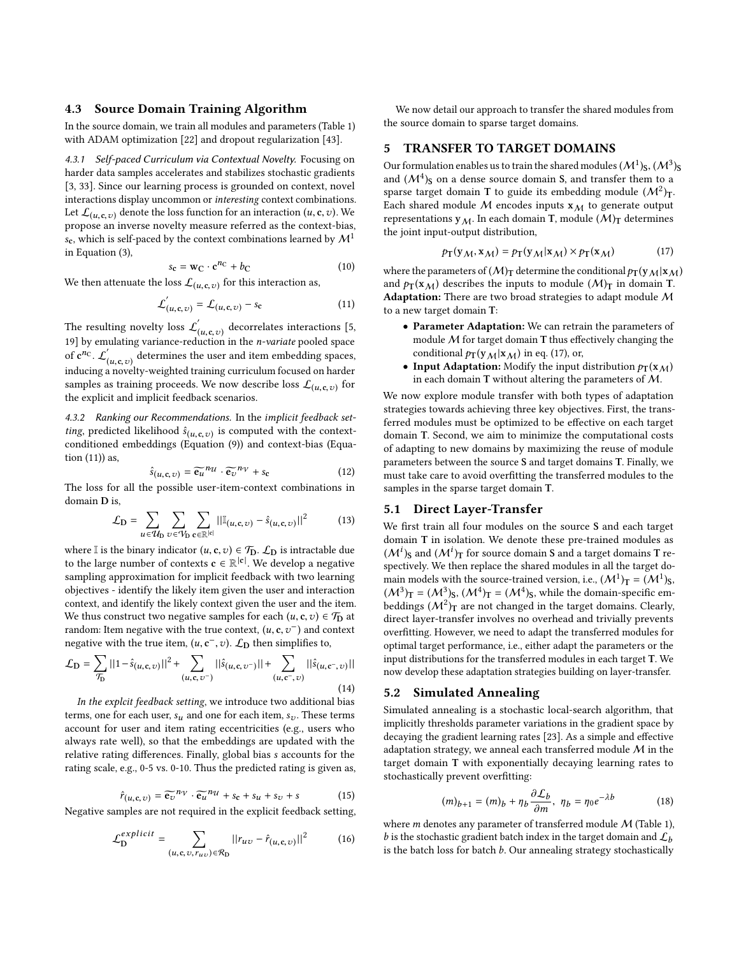### <span id="page-3-5"></span>4.3 Source Domain Training Algorithm

In the source domain, we train all modules and parameters (Table [1\)](#page-2-6) with ADAM optimization [\[22\]](#page-9-32) and dropout regularization [\[43\]](#page-9-33).

4.3.1 Self-paced Curriculum via Contextual Novelty. Focusing on harder data samples accelerates and stabilizes stochastic gradients [\[3,](#page-9-34) [33\]](#page-9-35). Since our learning process is grounded on context, novel interactions display uncommon or interesting context combinations. Let  $\mathcal{L}_{(u, \mathbf{c}, v)}$  denote the loss function for an interaction  $(u, \mathbf{c}, v)$ . We propose an inverse novelty measure referred as the context-bias, s<sub>c</sub>, which is self-paced by the context combinations learned by  $\mathcal{M}^1$ in Equation [\(3\)](#page-2-2),

<span id="page-3-0"></span>
$$
s_{\mathbf{c}} = \mathbf{w}_{\mathbf{C}} \cdot \mathbf{c}^{n_{\mathbf{C}}} + b_{\mathbf{C}} \tag{10}
$$

We then attenuate the loss  $\mathcal{L}_{(u, \mathbf{c}, v)}$  for this interaction as,

<span id="page-3-1"></span>
$$
\mathcal{L}'_{(u,\mathbf{c},v)} = \mathcal{L}_{(u,\mathbf{c},v)} - s_{\mathbf{c}} \tag{11}
$$

The resulting novelty loss  $\mathcal{L}'_{(u, \varepsilon, v)}$  decorrelates interactions [\[5,](#page-9-36) [19\]](#page-9-37) by emulating variance-reduction in the *n*-variate pooled space of  $c^{n_C}$ .  $\mathcal{L}'_0$  $\dot{u}_{(\mu,\mathbf{c},v)}$  determines the user and item embedding spaces,<br>a novelty-weighted training curriculum focused on harder inducing a novelty-weighted training curriculum focused on harder samples as training proceeds. We now describe loss  $\mathcal{L}_{(u, \mathbf{c}, v)}$  for the explicit and implicit feedback scenarios the explicit and implicit feedback scenarios.

4.3.2 Ranking our Recommendations. In the implicit feedback set*ting*, predicted likelihood  $\hat{s}_{(u, \mathbf{c}, v)}$  is computed with the context-<br>conditioned embeddings (Equation (9)) and context-bias (Equaconditioned embeddings (Equation [\(9\)](#page-2-5)) and context-bias (Equation [\(11\)](#page-3-1)) as,

$$
\hat{s}_{(u,\mathbf{c},v)} = \widetilde{\mathbf{e}_u}^{n} \cdot \widetilde{\mathbf{e}_v}^{n} + s_{\mathbf{c}} \tag{12}
$$

 $\hat{s}_{(u,c,v)} = \widetilde{\mathbf{e}_u}^{n_u} \cdot \widetilde{\mathbf{e}_v}^{n_v} + s_c$  (12)<br>The loss for all the possible user-item-context combinations in domain D is,

$$
\mathcal{L}_{\mathbf{D}} = \sum_{u \in \mathcal{U}_{\mathbf{D}}} \sum_{v \in \mathcal{V}_{\mathbf{D}}} \sum_{\mathbf{c} \in \mathbb{R}^{|\mathbf{c}|}} ||\mathbb{I}_{(u,\mathbf{c},v)} - \hat{s}_{(u,\mathbf{c},v)}||^2 \tag{13}
$$

where I is the binary indicator  $(u, c, v) \in \mathcal{T}_D$ .  $\mathcal{L}_D$  is intractable due to the large number of contexts  $\mathbf{c} \in \mathbb{R}^{|\mathbf{c}|}$ . We develop a negative sampling approximation for implicit feedback with two learning objectives - identify the likely item given the user and interaction context, and identify the likely context given the user and the item. We thus construct two negative samples for each  $(u, c, v) \in T_D$  at random: Item negative with the true context,  $(u, c, v^-)$  and context<br>persitive with the true item  $(u, c^- v)$ . Contensimilities to negative with the true item,  $(u, c^{-}, v)$ .  $\mathcal{L}_{\text{D}}$  then simplifies to,

<span id="page-3-4"></span>
$$
\mathcal{L}_{\mathbf{D}} = \sum_{\mathcal{T}_{\mathbf{D}}} ||1 - \hat{s}_{(u, \mathbf{c}, v)}||^2 + \sum_{(u, \mathbf{c}, v^{-})} ||\hat{s}_{(u, \mathbf{c}, v^{-})}|| + \sum_{(u, \mathbf{c}^{-}, v)} ||\hat{s}_{(u, \mathbf{c}^{-}, v)}||
$$
\n(14)

In the explcit feedback setting, we introduce two additional bias terms, one for each user,  $s_u$  and one for each item,  $s_v$ . These terms account for user and item rating eccentricities (e.g., users who always rate well), so that the embeddings are updated with the relative rating differences. Finally, global bias s accounts for the rating scale, e.g., 0-5 vs. 0-10. Thus the predicted rating is given as,

<span id="page-3-8"></span>
$$
s_{(u, \mathbf{c}, v)} = \widetilde{\mathbf{e}_v}^{n_v} \cdot \widetilde{\mathbf{e}_u}^{n_u} + s_{\mathbf{c}} + s_u + s_v + s \tag{15}
$$

 $\hat{r}_{(u,c,v)} = \widetilde{\mathbf{e}_v}^{n_v} \cdot \widetilde{\mathbf{e}_u}^{n_u} + s_c + s_u + s_v + s$  (15)<br>Negative samples are not required in the explicit feedback setting,

<span id="page-3-9"></span>
$$
\mathcal{L}_{\mathbf{D}}^{explicit} = \sum_{(u, \mathbf{c}, v, r_{uv}) \in \mathcal{R}_{\mathbf{D}}} ||r_{uv} - \hat{r}_{(u, \mathbf{c}, v)}||^2 \tag{16}
$$

We now detail our approach to transfer the shared modules from the source domain to sparse target domains.

# <span id="page-3-3"></span>5 TRANSFER TO TARGET DOMAINS

Our formulation enables us to train the shared modules  $(M^1)_{\mathbf{S}}, (M^3)_{\mathbf{S}}$ <br>and  $(M^4)_{\mathbf{S}}$  on a dense source domain S, and transfer them to a and  $(M^4)$ <sub>S</sub> on a dense source domain S, and transfer them to a space target domain T to guide its embedding module  $(M^2)$ <sub>n</sub> sparse target domain T to guide its embedding module  $(M^2)_{\text{T}}$ .<br>Each shared module M encodes inputs  $\mathbf{x} \cdot \mathbf{y}$  to generate output. Each shared module M encodes inputs  $x_M$  to generate output representations  $y_M$ . In each domain T, module  $(M)_T$  determines the joint input-output distribution,

<span id="page-3-2"></span>
$$
p_{\mathbf{T}}(\mathbf{y}_{\mathcal{M}}, \mathbf{x}_{\mathcal{M}}) = p_{\mathbf{T}}(\mathbf{y}_{\mathcal{M}} | \mathbf{x}_{\mathcal{M}}) \times p_{\mathbf{T}}(\mathbf{x}_{\mathcal{M}})
$$
(17)

where the parameters of  $(M)_T$  determine the conditional  $p_T(y_M|x_M)$ and  $p_T(\mathbf{x}_M)$  describes the inputs to module  $(M)_T$  in domain T. Adaptation: There are two broad strategies to adapt module M to a new target domain T:

- Parameter Adaptation: We can retrain the parameters of module  $M$  for target domain T thus effectively changing the conditional  $p_T(y_M|x_M)$  in eq. [\(17\)](#page-3-2), or,
- Input Adaptation: Modify the input distribution  $p_T(\mathbf{x}_M)$ in each domain T without altering the parameters of M.

We now explore module transfer with both types of adaptation strategies towards achieving three key objectives. First, the transferred modules must be optimized to be effective on each target domain T. Second, we aim to minimize the computational costs of adapting to new domains by maximizing the reuse of module parameters between the source S and target domains T. Finally, we must take care to avoid overfitting the transferred modules to the samples in the sparse target domain T.

# <span id="page-3-6"></span>5.1 Direct Layer-Transfer

We first train all four modules on the source S and each target domain T in isolation. We denote these pre-trained modules as  $(\mathcal{M}^i)$ <sub>S</sub> and  $(\mathcal{M}^i)$ <sub>T</sub> for source domain S and a target domains T respectively. We then replace the shared modules in all the target domain models with the source-trained version, i.e.,  $(M^1)_T = (M^1)_8$ ,<br> $(M^3)_T = (M^3)_0$ ,  $(M^4)_T = (M^4)_0$ , while the domain-specific em- $(M^3)$ T =  $(M^3)$ s,  $(M^4)$ T =  $(M^4)$ s, while the domain-specific em-<br>heddings  $(M^2)$ <sub>n</sub> are not changed in the target domains. Clearly beddings  $(M^2)$ <sub>T</sub> are not changed in the target domains. Clearly, direct layer-transfer involves no overhead and trivially prevents direct layer-transfer involves no overhead and trivially prevents overfitting. However, we need to adapt the transferred modules for optimal target performance, i.e., either adapt the parameters or the input distributions for the transferred modules in each target T. We now develop these adaptation strategies building on layer-transfer.

#### <span id="page-3-7"></span>5.2 Simulated Annealing

Simulated annealing is a stochastic local-search algorithm, that implicitly thresholds parameter variations in the gradient space by decaying the gradient learning rates [\[23\]](#page-9-38). As a simple and effective adaptation strategy, we anneal each transferred module  $M$  in the target domain T with exponentially decaying learning rates to stochastically prevent overfitting:

$$
(m)_{b+1} = (m)_b + \eta_b \frac{\partial \mathcal{L}_b}{\partial m}, \ \eta_b = \eta_0 e^{-\lambda b} \tag{18}
$$

where *m* denotes any parameter of transferred module  $M$  (Table [1\)](#page-2-6), <br>h is the stochastic gradient batch index in the target domain and  $\Gamma$ . b is the stochastic gradient batch index in the target domain and  $\mathcal{L}_b$ is the batch loss for batch  $b$ . Our annealing strategy stochastically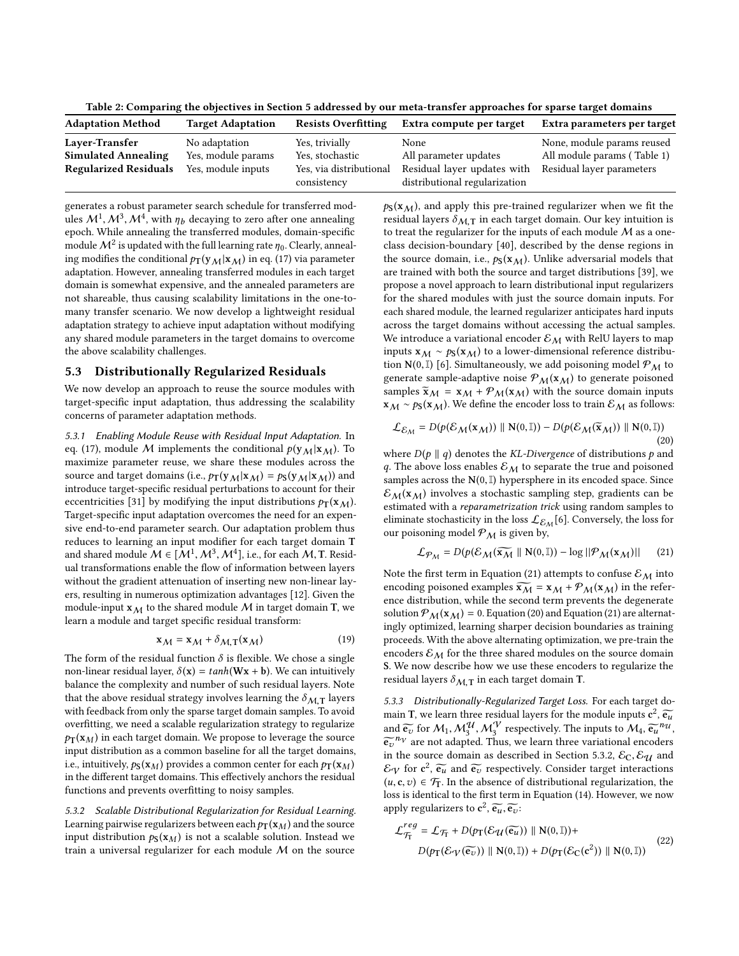Table 2: Comparing the objectives in Section [5](#page-3-3) addressed by our meta-transfer approaches for sparse target domains

| <b>Adaptation Method</b>     | <b>Target Adaptation</b> | <b>Resists Overfitting</b>             | Extra compute per target                                     | Extra parameters per target |
|------------------------------|--------------------------|----------------------------------------|--------------------------------------------------------------|-----------------------------|
| Layer-Transfer               | No adaptation            | Yes, trivially                         | None                                                         | None, module params reused  |
| <b>Simulated Annealing</b>   | Yes, module params       | Yes. stochastic                        | All parameter updates                                        | All module params (Table 1) |
| <b>Regularized Residuals</b> | Yes, module inputs       | Yes, via distributional<br>consistency | Residual layer updates with<br>distributional regularization | Residual layer parameters   |

generates a robust parameter search schedule for transferred modules  $M^1$ ,  $M^3$ ,  $M^4$ , with  $\eta_b$  decaying to zero after one annealing<br>epoch While annealing the transferred modules domain-specific epoch. While annealing the transferred modules, domain-specific module  $\mathcal{M}^2$  is updated with the full learning rate  $\eta_0$ . Clearly, anneal-<br>ing modifies the conditional  $tr(\mathbf{y}_k|\mathbf{y}_k)$  in eq. (17) via parameter ing modifies the conditional  $p_T(y_M|x_M)$  in eq. [\(17\)](#page-3-2) via parameter adaptation. However, annealing transferred modules in each target domain is somewhat expensive, and the annealed parameters are not shareable, thus causing scalability limitations in the one-tomany transfer scenario. We now develop a lightweight residual adaptation strategy to achieve input adaptation without modifying any shared module parameters in the target domains to overcome the above scalability challenges.

# <span id="page-4-3"></span>5.3 Distributionally Regularized Residuals

We now develop an approach to reuse the source modules with target-specific input adaptation, thus addressing the scalability concerns of parameter adaptation methods.

5.3.1 Enabling Module Reuse with Residual Input Adaptation. In eq. [\(17\)](#page-3-2), module M implements the conditional  $p(y_M|x_M)$ . To maximize parameter reuse, we share these modules across the source and target domains (i.e.,  $p_T(y_M|x_M) = p_S(y_M|x_M))$  and introduce target-specific residual perturbations to account for their eccentricities [\[31\]](#page-9-39) by modifying the input distributions  $p_T(\mathbf{x}_M)$ . Target-specific input adaptation overcomes the need for an expensive end-to-end parameter search. Our adaptation problem thus reduces to learning an input modifier for each target domain T and shared module  $M \in [M^1, M^3, M^4]$ , i.e., for each  $M$ , T. Resid-<br>ual transformations enable the flow of information between layers ual transformations enable the flow of information between layers without the gradient attenuation of inserting new non-linear layers, resulting in numerous optimization advantages [\[12\]](#page-9-40). Given the module-input  $x_M$  to the shared module M in target domain T, we learn a module and target specific residual transform:

$$
\mathbf{x}_{\mathcal{M}} = \mathbf{x}_{\mathcal{M}} + \delta_{\mathcal{M}, \mathbf{T}}(\mathbf{x}_{\mathcal{M}}) \tag{19}
$$

The form of the residual function  $\delta$  is flexible. We chose a single non-linear residual layer,  $\delta(\mathbf{x}) = \tanh(\mathbf{W}\mathbf{x} + \mathbf{b})$ . We can intuitively balance the complexity and number of such residual layers. Note that the above residual strategy involves learning the  $\delta_{M,T}$  layers with feedback from only the sparse target domain samples. To avoid overfitting, we need a scalable regularization strategy to regularize  $p_T(\mathbf{x}_M)$  in each target domain. We propose to leverage the source input distribution as a common baseline for all the target domains, i.e., intuitively,  $p_S(\mathbf{x}_M)$  provides a common center for each  $p_T(\mathbf{x}_M)$ in the different target domains. This effectively anchors the residual functions and prevents overfitting to noisy samples.

<span id="page-4-2"></span>5.3.2 Scalable Distributional Regularization for Residual Learning. Learning pairwise regularizers between each  $p_T(\mathbf{x}_M)$  and the source input distribution  $p_S(x_M)$  is not a scalable solution. Instead we train a universal regularizer for each module  $M$  on the source  $p_S$ ( $x_M$ ), and apply this pre-trained regularizer when we fit the residual layers  $\delta_{M,T}$  in each target domain. Our key intuition is to treat the regularizer for the inputs of each module  $M$  as a oneclass decision-boundary [\[40\]](#page-9-41), described by the dense regions in the source domain, i.e.,  $p_S(x_M)$ . Unlike adversarial models that are trained with both the source and target distributions [\[39\]](#page-9-42), we propose a novel approach to learn distributional input regularizers for the shared modules with just the source domain inputs. For each shared module, the learned regularizer anticipates hard inputs across the target domains without accessing the actual samples. We introduce a variational encoder  $\mathcal{E}_{M}$  with RelU layers to map inputs  $x_M \sim p_S(x_M)$  to a lower-dimensional reference distribu-tion N(0, I) [\[6\]](#page-9-43). Simultaneously, we add poisoning model  $\mathcal{P}_M$  to generate sample-adaptive noise  $P_M(x_M)$  to generate poisoned samples  $\widetilde{\mathbf{x}}_{M} = \mathbf{x}_{M} + \mathcal{P}_{M}(\mathbf{x}_{M})$  with the source domain inputs  $x_M \sim p_S(x_M)$ . We define the encoder loss to train  $\mathcal{E}_M$  as follows:

<span id="page-4-1"></span>
$$
\mathcal{L}_{\mathcal{E}_{\mathcal{M}}} = D(p(\mathcal{E}_{\mathcal{M}}(\mathbf{x}_{\mathcal{M}})) \parallel \mathbf{N}(0, \mathbb{I})) - D(p(\mathcal{E}_{\mathcal{M}}(\widetilde{\mathbf{x}}_{\mathcal{M}})) \parallel \mathbf{N}(0, \mathbb{I}))
$$
\n(20)

where  $D(p \parallel q)$  denotes the KL-Divergence of distributions p and q. The above loss enables  $\mathcal{E}_M$  to separate the true and poisoned samples across the  $N(0, \mathbb{I})$  hypersphere in its encoded space. Since  $\mathcal{E}_{M}(\mathbf{x}_{M})$  involves a stochastic sampling step, gradients can be estimated with a reparametrization trick using random samples to eliminate stochasticity in the loss  $\mathcal{L}_{\mathcal{E}_{\mathcal{M}}}[6].$  $\mathcal{L}_{\mathcal{E}_{\mathcal{M}}}[6].$  $\mathcal{L}_{\mathcal{E}_{\mathcal{M}}}[6].$  Conversely, the loss for our poisoning model  $P_M$  is given by,

<span id="page-4-0"></span>
$$
\mathcal{L}_{\mathcal{P}_M} = D(p(\mathcal{E}_M(\widetilde{\mathbf{x}_M} \parallel \mathbf{N}(0,\mathbb{I})) - \log ||\mathcal{P}_M(\mathbf{x}_M)||) \qquad (21)
$$

Note the first term in Equation [\(21\)](#page-4-0) attempts to confuse  $\mathcal{E}_M$  into encoding poisoned examples  $\widetilde{x_M} = x_M + \mathcal{P}_M(x_M)$  in the reference distribution, while the second term prevents the degenerate solution  $\mathcal{P}_M(x_M) = 0$ . Equation [\(20\)](#page-4-1) and Equation [\(21\)](#page-4-0) are alternatingly optimized, learning sharper decision boundaries as training proceeds. With the above alternating optimization, we pre-train the encoders  $\mathcal{E}_M$  for the three shared modules on the source domain S. We now describe how we use these encoders to regularize the residual layers  $\delta_{M,T}$  in each target domain T.

5.3.3 Distributionally-Regularized Target Loss. For each target domain T, we learn three residual layers for the module inputs  $c^2$ ,  $\widetilde{e_u}$ <br>and  $\widetilde{\sim}$  for M, MU, MV respectively. The inputs to M,  $\widetilde{\sim}^{n_{\mathcal{U}}}$ and  $\widetilde{e_v}$  for  $M_1, M_3^{\mathcal{U}}, M_3^{\mathcal{V}}$  respectively. The inputs to  $M_4, \widetilde{e_u}^{n_{\mathcal{U}}},$  $\widetilde{e_{v}}^{n_{v}}$  are not adapted. Thus, we learn three variational encoders<br>in the source domain as described in Section 5.3.2. Eq. Eq. and in the source domain as described in Section [5.3.2,](#page-4-2)  $\mathcal{E}_C$ ,  $\mathcal{E}_U$  and  $\mathcal{E}_{\mathcal{V}}$  for  $c^2$ ,  $\widetilde{e_u}$  and  $\widetilde{e_v}$  respectively. Consider target interactions  $(u, e_v) \in \mathcal{F}_v$ . In the change of distributional regularization, the  $(u, c, v) \in \mathcal{T}_T$ . In the absence of distributional regularization, the loss is identical to the first term in Equation [\(14\)](#page-3-4). However, we now apply regularizers to  $c^2$ ,  $\widetilde{e_u}$ ,  $\widetilde{e_v}$ :

$$
\mathcal{L}_{\mathcal{T}_{\mathcal{T}}}^{reg} = \mathcal{L}_{\mathcal{T}_{\mathcal{T}}} + D(p_{\mathcal{T}}(\mathcal{E}_{\mathcal{U}}(\widetilde{\mathbf{e}_{u}})) \parallel \mathbf{N}(0, \mathbb{I})) +
$$
  
 
$$
D(p_{\mathcal{T}}(\mathcal{E}_{\mathcal{V}}(\widetilde{\mathbf{e}_{v}})) \parallel \mathbf{N}(0, \mathbb{I})) + D(p_{\mathcal{T}}(\mathcal{E}_{\mathcal{C}}(\mathbf{c}^{2})) \parallel \mathbf{N}(0, \mathbb{I}))
$$
 (22)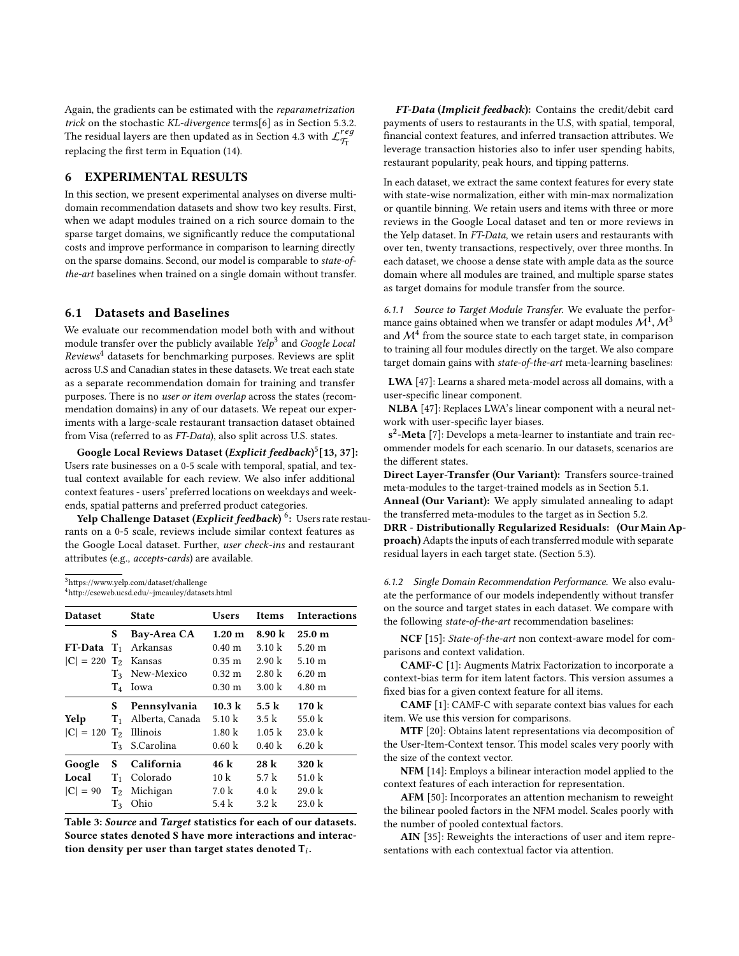Again, the gradients can be estimated with the reparametrization trick on the stochastic KL-divergence terms[\[6\]](#page-9-43) as in Section [5.3.2.](#page-4-2) The residual layers are then updated as in Section [4.3](#page-3-5) with  ${\cal L}_{\rm T_T}^{reg}$ replacing the first term in Equation [\(14\)](#page-3-4).

# 6 EXPERIMENTAL RESULTS

In this section, we present experimental analyses on diverse multidomain recommendation datasets and show two key results. First, when we adapt modules trained on a rich source domain to the sparse target domains, we significantly reduce the computational costs and improve performance in comparison to learning directly on the sparse domains. Second, our model is comparable to state-ofthe-art baselines when trained on a single domain without transfer.

# 6.1 Datasets and Baselines

We evaluate our recommendation model both with and without module transfer over the publicly available  $\it{Yelp}^3$  $\it{Yelp}^3$  and  $\it Google \it Local$  $Review<sup>4</sup> datasets for benchmarking purposes. Reviews are split$  $Review<sup>4</sup> datasets for benchmarking purposes. Reviews are split$  $Review<sup>4</sup> datasets for benchmarking purposes. Reviews are split$ across U.S and Canadian states in these datasets. We treat each state as a separate recommendation domain for training and transfer purposes. There is no user or item overlap across the states (recommendation domains) in any of our datasets. We repeat our experiments with a large-scale restaurant transaction dataset obtained from Visa (referred to as FT-Data), also split across U.S. states.

Google Local Reviews Dataset (*Explicit feedback*)<sup>[5](#page-0-1)</sup>[\[13,](#page-9-44) [37\]](#page-9-45): Users rate businesses on a 0-5 scale with temporal, spatial, and textual context available for each review. We also infer additional context features - users' preferred locations on weekdays and weekends, spatial patterns and preferred product categories.

Yelp Challenge Dataset (Explicit feedback) <sup>[6](#page-0-1)</sup>: Users rate restaurants on a 0-5 scale, reviews include similar context features as the Google Local dataset. Further, user check-ins and restaurant attributes (e.g., accepts-cards) are available.

<span id="page-5-0"></span><sup>3</sup><https://www.yelp.com/dataset/challenge>

<span id="page-5-1"></span><sup>4</sup><http://cseweb.ucsd.edu/~jmcauley/datasets.html>

| <b>Dataset</b>                      |       | <b>State</b>              | Users                | <b>Items</b>      | <b>Interactions</b>  |
|-------------------------------------|-------|---------------------------|----------------------|-------------------|----------------------|
|                                     | S     | Bay-Area CA               | 1.20 <sub>m</sub>    | 8.90 k            | 25.0 <sub>m</sub>    |
| $FT-Data T_1$                       |       | Arkansas                  | 0.40 <sub>m</sub>    | $3.10 \text{ k}$  | $5.20 \text{ m}$     |
| $ C  = 220$ T <sub>2</sub> Kansas   |       |                           | $0.35 \; \mathrm{m}$ | $2.90 \text{ k}$  | $5.10 \; \mathrm{m}$ |
|                                     |       | T <sub>3</sub> New-Mexico | $0.32 \; \mathrm{m}$ | $2.80 \text{ k}$  | $6.20 \text{ m}$     |
|                                     | $T_4$ | Iowa                      | $0.30 \text{ m}$     | $3.00 \text{ k}$  | $4.80 \; \mathrm{m}$ |
|                                     | S     | Pennsylvania              | $10.3 \text{ k}$     | $5.5\;{\rm k}$    | 170k                 |
| Yelp                                | $T_1$ | Alberta, Canada           | 5.10 $k$             | $3.5 \text{ k}$   | 55.0 $k$             |
| $ C  = 120$ T <sub>2</sub> Illinois |       |                           | $1.80 \text{ k}$     | 1.05 k            | 23.0 k               |
|                                     | $T_3$ | S.Carolina                | 0.60 k               | 0.40 k            | 6.20 k               |
| Google                              | S     | California                | 46 k                 | 28 k              | 320 k                |
| Local                               | $T_1$ | Colorado                  | $10 \text{ k}$       | 5.7k              | 51.0 $k$             |
| $ C  = 90$                          | $T_2$ | Michigan                  | $7.0 \text{ k}$      | $4.0\ \mathrm{k}$ | 29.0 k               |
|                                     | $T_3$ | Ohio                      | 5.4k                 | 3.2 k             | 23.0 k               |

Table 3: Source and Target statistics for each of our datasets. Source states denoted S have more interactions and interaction density per user than target states denoted  $\mathsf{T}_i$ .

FT-Data (Implicit feedback): Contains the credit/debit card payments of users to restaurants in the U.S, with spatial, temporal, financial context features, and inferred transaction attributes. We leverage transaction histories also to infer user spending habits, restaurant popularity, peak hours, and tipping patterns.

In each dataset, we extract the same context features for every state with state-wise normalization, either with min-max normalization or quantile binning. We retain users and items with three or more reviews in the Google Local dataset and ten or more reviews in the Yelp dataset. In FT-Data, we retain users and restaurants with over ten, twenty transactions, respectively, over three months. In each dataset, we choose a dense state with ample data as the source domain where all modules are trained, and multiple sparse states as target domains for module transfer from the source.

6.1.1 Source to Target Module Transfer. We evaluate the performance gains obtained when we transfer or adapt modules  $\mathcal{M}^1$ ,  $\mathcal{M}^3$ <br>and  $\mathcal{M}^4$  from the source state to each target state, in comparison and  $\mathcal{M}^{\overline{4}}$  from the source state to each target state, in comparison to training all four modules directly on the target. We also compare target domain gains with state-of-the-art meta-learning baselines:

LWA [\[47\]](#page-9-27): Learns a shared meta-model across all domains, with a user-specific linear component.

NLBA [\[47\]](#page-9-27): Replaces LWA's linear component with a neural network with user-specific layer biases.

s<sup>2</sup>-Meta [\[7\]](#page-9-25): Develops a meta-learner to instantiate and train recommender models for each scenario. In our datasets, scenarios are the different states.

Direct Layer-Transfer (Our Variant): Transfers source-trained meta-modules to the target-trained models as in Section [5.1.](#page-3-6) Anneal (Our Variant): We apply simulated annealing to adapt the transferred meta-modules to the target as in Section [5.2.](#page-3-7) DRR - Distributionally Regularized Residuals: (Our Main Approach) Adapts the inputs of each transferred module with separate residual layers in each target state. (Section [5.3\)](#page-4-3).

6.1.2 Single Domain Recommendation Performance. We also evaluate the performance of our models independently without transfer on the source and target states in each dataset. We compare with the following state-of-the-art recommendation baselines:

NCF [\[15\]](#page-9-0): State-of-the-art non context-aware model for comparisons and context validation.

CAMF-C [\[1\]](#page-8-1): Augments Matrix Factorization to incorporate a context-bias term for item latent factors. This version assumes a fixed bias for a given context feature for all items.

CAMF [\[1\]](#page-8-1): CAMF-C with separate context bias values for each item. We use this version for comparisons.

MTF [\[20\]](#page-9-46): Obtains latent representations via decomposition of the User-Item-Context tensor. This model scales very poorly with the size of the context vector.

NFM [\[14\]](#page-9-29): Employs a bilinear interaction model applied to the context features of each interaction for representation.

AFM [\[50\]](#page-9-47): Incorporates an attention mechanism to reweight the bilinear pooled factors in the NFM model. Scales poorly with the number of pooled contextual factors.

AIN [\[35\]](#page-9-8): Reweights the interactions of user and item representations with each contextual factor via attention.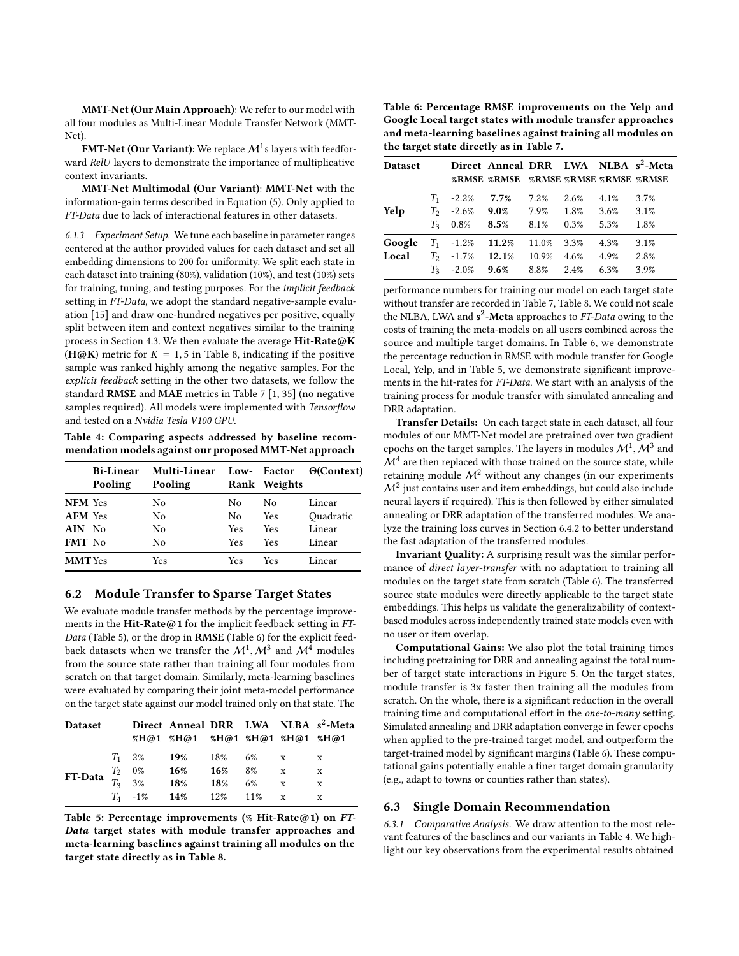MMT-Net (Our Main Approach): We refer to our model with all four modules as Multi-Linear Module Transfer Network (MMT-Net).

**FMT-Net (Our Variant)**: We replace  $\mathcal{M}^1$ s layers with feedforward RelU layers to demonstrate the importance of multiplicative context invariants.

MMT-Net Multimodal (Our Variant): MMT-Net with the information-gain terms described in Equation [\(5\)](#page-2-3). Only applied to FT-Data due to lack of interactional features in other datasets.

6.1.3 Experiment Setup. We tune each baseline in parameter ranges centered at the author provided values for each dataset and set all embedding dimensions to 200 for uniformity. We split each state in each dataset into training (80%), validation (10%), and test (10%) sets for training, tuning, and testing purposes. For the implicit feedback setting in FT-Data, we adopt the standard negative-sample evaluation [\[15\]](#page-9-0) and draw one-hundred negatives per positive, equally split between item and context negatives similar to the training process in Section [4.3.](#page-3-5) We then evaluate the average  $Hit-Rate@K$ ( $H@K$ ) metric for  $K = 1, 5$  in Table [8,](#page-7-0) indicating if the positive sample was ranked highly among the negative samples. For the explicit feedback setting in the other two datasets, we follow the standard RMSE and MAE metrics in Table [7](#page-7-1) [\[1,](#page-8-1) [35\]](#page-9-8) (no negative samples required). All models were implemented with Tensorflow and tested on a Nvidia Tesla V100 GPU.

<span id="page-6-2"></span>Table 4: Comparing aspects addressed by baseline recommendation models against our proposed MMT-Net approach

|                | <b>Bi-Linear</b><br>Pooling | Multi-Linear<br>Pooling |     | Low- Factor<br>Rank Weights | $\Theta$ (Context) |
|----------------|-----------------------------|-------------------------|-----|-----------------------------|--------------------|
| <b>NFM</b> Yes |                             | No                      | No  | No.                         | Linear             |
| <b>AFM</b> Yes |                             | No                      | No  | <b>Yes</b>                  | Quadratic          |
| $AIN$ No       |                             | No                      | Yes | Yes                         | Linear             |
| FMT No         |                             | No                      | Yes | Yes                         | Linear             |
| <b>MMT</b> Yes |                             | Yes                     | Yes | Yes                         | Linear             |

#### <span id="page-6-3"></span>6.2 Module Transfer to Sparse Target States

We evaluate module transfer methods by the percentage improvements in the Hit-Rate@1 for the implicit feedback setting in  $FT$ -Data (Table [5\)](#page-6-0), or the drop in RMSE (Table [6\)](#page-6-1) for the explicit feedback datasets when we transfer the  $\mathcal{M}^1$ ,  $\mathcal{M}^3$  and  $\mathcal{M}^4$  modules from the source state rather than training all four modules from from the source state rather than training all four modules from scratch on that target domain. Similarly, meta-learning baselines were evaluated by comparing their joint meta-model performance on the target state against our model trained only on that state. The

<span id="page-6-0"></span>

| <b>Dataset</b>                                  |  |                               |        |    |              | Direct Anneal DRR LWA NLBA s <sup>2</sup> -Meta |
|-------------------------------------------------|--|-------------------------------|--------|----|--------------|-------------------------------------------------|
|                                                 |  | %H@1 %H@1 %H@1 %H@1 %H@1 %H@1 |        |    |              |                                                 |
|                                                 |  | $T_1$ 2% 19% 18% 6% x         |        |    |              | X                                               |
|                                                 |  |                               | 16% 8% |    | $\mathbf{x}$ | X                                               |
| FT-Data $\frac{T_2}{T_3}$ $\frac{0\%}{3\%}$ 16% |  |                               | 18%    | 6% | $\mathbf{x}$ | X                                               |
|                                                 |  | $T_4$ -1% 14% 12% 11% x       |        |    |              | X                                               |
|                                                 |  |                               |        |    |              |                                                 |

Table 5: Percentage improvements (% Hit-Rate@1) on FT-Data target states with module transfer approaches and meta-learning baselines against training all modules on the target state directly as in Table [8.](#page-7-0)

<span id="page-6-1"></span>Table 6: Percentage RMSE improvements on the Yelp and Google Local target states with module transfer approaches and meta-learning baselines against training all modules on the target state directly as in Table [7.](#page-7-1)

| <b>Dataset</b> |         |                          |                                     |       |         |         | Direct Anneal DRR LWA NLBA s <sup>2</sup> -Meta |
|----------------|---------|--------------------------|-------------------------------------|-------|---------|---------|-------------------------------------------------|
|                |         |                          | %RMSE %RMSE %RMSE %RMSE %RMSE %RMSE |       |         |         |                                                 |
|                | $T_{1}$ | $-2.2\%$                 | 7.7%                                | 7.2%  | 2.6%    | 4.1%    | 3.7%                                            |
| Yelp           |         | $T_2$ -2.6%              | $9.0\%$                             | 7.9%  | $1.8\%$ | $3.6\%$ | 3.1%                                            |
|                | $T_3$   | 0.8%                     | 8.5%                                | 8.1%  | 0.3%    | 5.3%    | 1.8%                                            |
| Google         |         | $T_1$ -1.2%              | 11.2%                               | 11.0% | 3.3%    | 4.3%    | 3.1%                                            |
| Local          |         | $T_2$ -1.7% <b>12.1%</b> |                                     | 10.9% | $4.6\%$ | 4.9%    | 2.8%                                            |
|                | $T_3$   | $-2.0\%$                 | 9.6%                                | 8.8%  | $2.4\%$ | 6.3%    | 3.9%                                            |

performance numbers for training our model on each target state without transfer are recorded in Table [7,](#page-7-1) Table [8.](#page-7-0) We could not scale the NLBA, LWA and s<sup>2</sup>-Meta approaches to FT-Data owing to the costs of training the meta-models on all users combined across the source and multiple target domains. In Table [6,](#page-6-1) we demonstrate the percentage reduction in RMSE with module transfer for Google Local, Yelp, and in Table [5,](#page-6-0) we demonstrate significant improvements in the hit-rates for FT-Data. We start with an analysis of the training process for module transfer with simulated annealing and DRR adaptation.

Transfer Details: On each target state in each dataset, all four modules of our MMT-Net model are pretrained over two gradient epochs on the target samples. The layers in modules  $\mathcal{M}^1$ ,  $\mathcal{M}^3$  and  $\mathcal{M}^4$  are then replaced with those trained on the source state, while  $\mathcal{M}^4$  are then replaced with those trained on the source state, while retaining module  $\mathcal{M}^2$  without any changes (in our experiments  $\mathcal{M}^2$  just contains user and item embeddings, but could also include neural layers if required). This is then followed by either simulated annealing or DRR adaptation of the transferred modules. We analyze the training loss curves in Section [6.4.2](#page-7-2) to better understand the fast adaptation of the transferred modules.

Invariant Quality: A surprising result was the similar performance of direct layer-transfer with no adaptation to training all modules on the target state from scratch (Table [6\)](#page-6-1). The transferred source state modules were directly applicable to the target state embeddings. This helps us validate the generalizability of contextbased modules across independently trained state models even with no user or item overlap.

Computational Gains: We also plot the total training times including pretraining for DRR and annealing against the total number of target state interactions in Figure [5.](#page-8-2) On the target states, module transfer is 3x faster then training all the modules from scratch. On the whole, there is a significant reduction in the overall training time and computational effort in the *one-to-many* setting. Simulated annealing and DRR adaptation converge in fewer epochs when applied to the pre-trained target model, and outperform the target-trained model by significant margins (Table [6\)](#page-6-1). These computational gains potentially enable a finer target domain granularity (e.g., adapt to towns or counties rather than states).

# 6.3 Single Domain Recommendation

6.3.1 Comparative Analysis. We draw attention to the most relevant features of the baselines and our variants in Table [4.](#page-6-2) We highlight our key observations from the experimental results obtained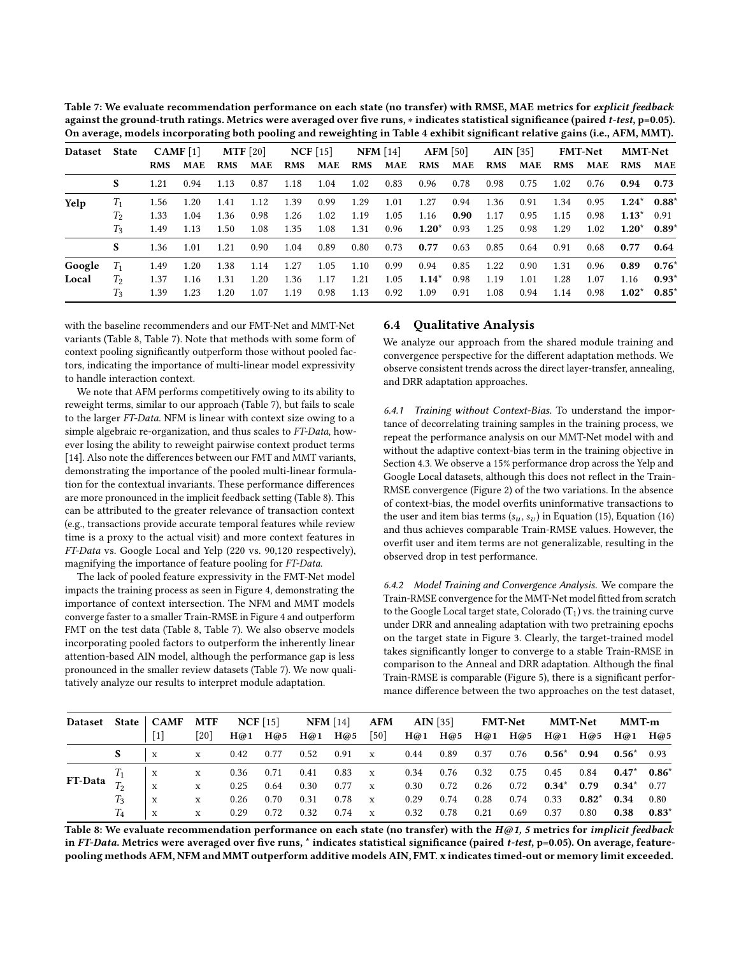<span id="page-7-1"></span>

| Table 7: We evaluate recommendation performance on each state (no transfer) with RMSE, MAE metrics for explicit feedback                   |
|--------------------------------------------------------------------------------------------------------------------------------------------|
| against the ground-truth ratings. Metrics were averaged over five runs, $*$ indicates statistical significance (paired t-test, $p=0.05$ ). |
| On average, models incorporating both pooling and reweighting in Table 4 exhibit significant relative gains (i.e., AFM, MMT).              |

| Dataset State |       | CAMF[1]    |            |            | MTF $[20]$ | NCF[15]    |      |            | $NFM$ [14] |            | $AFM$ [50] |            | AIN [35] |            | <b>FMT-Net</b> | <b>MMT-Net</b>             |         |
|---------------|-------|------------|------------|------------|------------|------------|------|------------|------------|------------|------------|------------|----------|------------|----------------|----------------------------|---------|
|               |       | <b>RMS</b> | <b>MAE</b> | <b>RMS</b> | MAE        | <b>RMS</b> | MAE  | <b>RMS</b> | MAE        | <b>RMS</b> | MAE        | <b>RMS</b> | MAE      | <b>RMS</b> | MAE            | RMS MAE                    |         |
|               | S     | 1.21       | 0.94       | 1.13       | 0.87       | 1.18       | 1.04 | 1.02       | 0.83       | 0.96       | 0.78       | 0.98       | 0.75     | 1.02       | 0.76           | $0.94$ 0.73                |         |
| Yelp          | $T_1$ | 1.56       | 1.20       | 1.41       | 1.12       | 1.39       | 0.99 | 1.29       | 1.01       | 1.27       | 0.94       | 1.36       | 0.91     | 1.34       | 0.95           | $1.24^*$ 0.88 <sup>*</sup> |         |
|               | Т2    | 1.33       | 1.04       | 1.36       | 0.98       | 1.26       | 1.02 | 1.19       | 1.05       | 1.16       | 0.90       | 1.17       | 0.95     | 1.15       | 0.98           | $1.13^*$ 0.91              |         |
|               | $T_3$ | 1.49       | 1.13       | 1.50       | 1.08       | 1.35       | 1.08 | 1.31       | 0.96       | $1.20^*$   | 0.93       | 1.25       | 0.98     | 1.29       | 1.02           | $1.20^*$ 0.89 <sup>*</sup> |         |
|               | S     | 1.36       | 1.01       | 1.21       | 0.90       | 1.04       | 0.89 | 0.80       | 0.73       | 0.77       | 0.63       | 0.85       | 0.64     | 0.91       | 0.68           | 0.77                       | 0.64    |
| Google        | $T_1$ | 1.49       | 1.20       | 1.38       | 1.14       | 1.27       | 1.05 | 1.10       | 0.99       | 0.94       | 0.85       | 1.22       | 0.90     | 1.31       | 0.96           | 0.89                       | $0.76*$ |
| Local         | Tэ    | 1.37       | 1.16       | 1.31       | 1.20       | 1.36       | 1.17 | 1.21       | 1.05       | $1.14*$    | 0.98       | 1.19       | 1.01     | 1.28       | 1.07           | 1.16                       | $0.93*$ |
|               | $T_3$ | 1.39       | 1.23       | 1.20       | 1.07       | 1.19       | 0.98 | 1.13       | 0.92       | 1.09       | 0.91       | 1.08       | 0.94     | 1.14       | 0.98           | $1.02^*$ 0.85 <sup>*</sup> |         |
|               |       |            |            |            |            |            |      |            |            |            |            |            |          |            |                |                            |         |

with the baseline recommenders and our FMT-Net and MMT-Net variants (Table [8,](#page-7-0) Table [7\)](#page-7-1). Note that methods with some form of context pooling significantly outperform those without pooled factors, indicating the importance of multi-linear model expressivity to handle interaction context.

We note that AFM performs competitively owing to its ability to reweight terms, similar to our approach (Table [7\)](#page-7-1), but fails to scale to the larger FT-Data. NFM is linear with context size owing to a simple algebraic re-organization, and thus scales to FT-Data, however losing the ability to reweight pairwise context product terms [\[14\]](#page-9-29). Also note the differences between our FMT and MMT variants, demonstrating the importance of the pooled multi-linear formulation for the contextual invariants. These performance differences are more pronounced in the implicit feedback setting (Table [8\)](#page-7-0). This can be attributed to the greater relevance of transaction context (e.g., transactions provide accurate temporal features while review time is a proxy to the actual visit) and more context features in FT-Data vs. Google Local and Yelp (220 vs. 90,120 respectively), magnifying the importance of feature pooling for FT-Data.

The lack of pooled feature expressivity in the FMT-Net model impacts the training process as seen in Figure [4,](#page-8-3) demonstrating the importance of context intersection. The NFM and MMT models converge faster to a smaller Train-RMSE in Figure [4](#page-8-3) and outperform FMT on the test data (Table [8,](#page-7-0) Table [7\)](#page-7-1). We also observe models incorporating pooled factors to outperform the inherently linear attention-based AIN model, although the performance gap is less pronounced in the smaller review datasets (Table [7\)](#page-7-1). We now qualitatively analyze our results to interpret module adaptation.

# 6.4 Qualitative Analysis

We analyze our approach from the shared module training and convergence perspective for the different adaptation methods. We observe consistent trends across the direct layer-transfer, annealing, and DRR adaptation approaches.

6.4.1 Training without Context-Bias. To understand the importance of decorrelating training samples in the training process, we repeat the performance analysis on our MMT-Net model with and without the adaptive context-bias term in the training objective in Section [4.3.](#page-3-5) We observe a 15% performance drop across the Yelp and Google Local datasets, although this does not reflect in the Train-RMSE convergence (Figure [2\)](#page-8-4) of the two variations. In the absence of context-bias, the model overfits uninformative transactions to the user and item bias terms  $(s_u, s_v)$  in Equation [\(15\)](#page-3-8), Equation [\(16\)](#page-3-9) and thus achieves comparable Train-RMSE values. However, the overfit user and item terms are not generalizable, resulting in the observed drop in test performance.

<span id="page-7-2"></span>6.4.2 Model Training and Convergence Analysis. We compare the Train-RMSE convergence for the MMT-Net model fitted from scratch to the Google Local target state, Colorado  $(T_1)$  vs. the training curve under DRR and annealing adaptation with two pretraining epochs on the target state in Figure [3.](#page-8-5) Clearly, the target-trained model takes significantly longer to converge to a stable Train-RMSE in comparison to the Anneal and DRR adaptation. Although the final Train-RMSE is comparable (Figure [5\)](#page-8-2), there is a significant performance difference between the two approaches on the test dataset,

<span id="page-7-0"></span>

| <b>Dataset</b>                                                                                                                           | <b>State</b> | <b>CAMF</b>               | <b>MTF</b> |      | $NCF$ [15] |      | $NFM$ [14] | <b>AFM</b>  |      | $\textbf{AIN}$ [35] |      | <b>FMT-Net</b> |         | <b>MMT-Net</b> | <b>MMT-m</b> |         |
|------------------------------------------------------------------------------------------------------------------------------------------|--------------|---------------------------|------------|------|------------|------|------------|-------------|------|---------------------|------|----------------|---------|----------------|--------------|---------|
|                                                                                                                                          |              | $[1]$                     | 20         | H@1  | H@5        | H@1  | H@5        | [50]        | H@1  | H@5                 | H@1  | H@5            | H@1     | H@5            | H@1          | H@5     |
|                                                                                                                                          |              | $\boldsymbol{\mathrm{x}}$ | X          | 0.42 | 0.77       | 0.52 | 0.91       | $\mathbf x$ | 0.44 | 0.89                | 0.37 | 0.76           | $0.56*$ | 0.94           | $0.56*$      | 0.93    |
|                                                                                                                                          |              | $\mathbf{x}$              | X          | 0.36 | 0.71       | 0.41 | 0.83       | X           | 0.34 | 0.76                | 0.32 | 0.75           | 0.45    | 0.84           | $0.47*$      | $0.86*$ |
| FT-Data                                                                                                                                  |              | $\mathbf x$               | X          | 0.25 | 0.64       | 0.30 | 0.77       | X           | 0.30 | 0.72                | 0.26 | 0.72           | $0.34*$ | 0.79           | $0.34*$      | 0.77    |
|                                                                                                                                          | $T_3$        | $\mathbf x$               | X          | 0.26 | 0.70       | 0.31 | 0.78       | X           | 0.29 | 0.74                | 0.28 | 0.74           | 0.33    | $0.82*$        | 0.34         | 0.80    |
|                                                                                                                                          | $T_{4}$      | X                         | X          | 0.29 | 0.72       | 0.32 | 0.74       | X           | 0.32 | 0.78                | 0.21 | 0.69           | 0.37    | 0.80           | 0.38         | $0.83*$ |
| Table 8: We evaluate recommendation performance on each state (no transfer) with the $H\omega$ 1, 5 metrics for <i>implicit feedback</i> |              |                           |            |      |            |      |            |             |      |                     |      |                |         |                |              |         |

in FT-Data. Metrics were averaged over five runs, \* indicates statistical significance (paired t-test,  $p=0.05$ ). On average, featurepooling methods AFM, NFM and MMT outperform additive models AIN, FMT. x indicates timed-out or memory limit exceeded.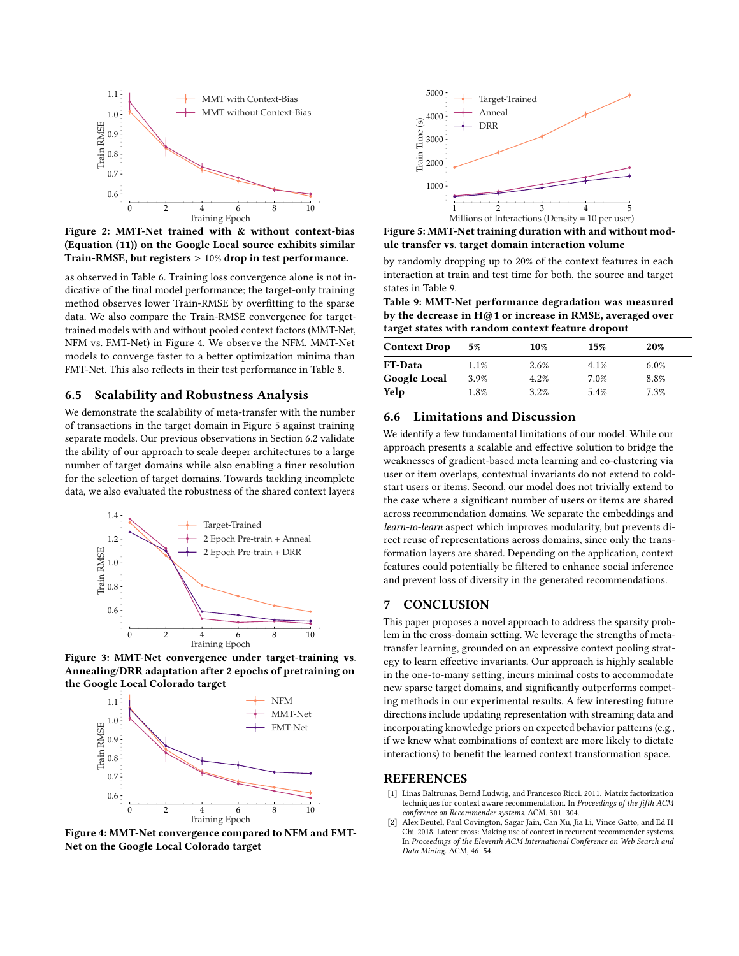<span id="page-8-4"></span>

Figure 2: MMT-Net trained with & without context-bias (Equation [\(11\)](#page-3-1)) on the Google Local source exhibits similar Train-RMSE, but registers > 10% drop in test performance.

as observed in Table [6.](#page-6-1) Training loss convergence alone is not indicative of the final model performance; the target-only training method observes lower Train-RMSE by overfitting to the sparse data. We also compare the Train-RMSE convergence for targettrained models with and without pooled context factors (MMT-Net, NFM vs. FMT-Net) in Figure [4.](#page-8-3) We observe the NFM, MMT-Net models to converge faster to a better optimization minima than FMT-Net. This also reflects in their test performance in Table [8.](#page-7-0)

### 6.5 Scalability and Robustness Analysis

We demonstrate the scalability of meta-transfer with the number of transactions in the target domain in Figure [5](#page-8-2) against training separate models. Our previous observations in Section [6.2](#page-6-3) validate the ability of our approach to scale deeper architectures to a large number of target domains while also enabling a finer resolution for the selection of target domains. Towards tackling incomplete data, we also evaluated the robustness of the shared context layers

<span id="page-8-5"></span>

Figure 3: MMT-Net convergence under target-training vs. Annealing/DRR adaptation after 2 epochs of pretraining on the Google Local Colorado target

<span id="page-8-3"></span>

Figure 4: MMT-Net convergence compared to NFM and FMT-Net on the Google Local Colorado target

<span id="page-8-2"></span>

Figure 5: MMT-Net training duration with and without module transfer vs. target domain interaction volume

by randomly dropping up to 20% of the context features in each interaction at train and test time for both, the source and target states in Table [9.](#page-8-6)

<span id="page-8-6"></span>Table 9: MMT-Net performance degradation was measured by the decrease in H@1 or increase in RMSE, averaged over target states with random context feature dropout

| <b>Context Drop</b> | 5%      | 10%  | 15%  | 20%     |
|---------------------|---------|------|------|---------|
| <b>FT-Data</b>      | $1.1\%$ | 2.6% | 4.1% | $6.0\%$ |
| <b>Google Local</b> | 3.9%    | 4.2% | 7.0% | 8.8%    |
| Yelp                | 1.8%    | 3.2% | 5.4% | 7.3%    |

# 6.6 Limitations and Discussion

We identify a few fundamental limitations of our model. While our approach presents a scalable and effective solution to bridge the weaknesses of gradient-based meta learning and co-clustering via user or item overlaps, contextual invariants do not extend to coldstart users or items. Second, our model does not trivially extend to the case where a significant number of users or items are shared across recommendation domains. We separate the embeddings and learn-to-learn aspect which improves modularity, but prevents direct reuse of representations across domains, since only the transformation layers are shared. Depending on the application, context features could potentially be filtered to enhance social inference and prevent loss of diversity in the generated recommendations.

# 7 CONCLUSION

This paper proposes a novel approach to address the sparsity problem in the cross-domain setting. We leverage the strengths of metatransfer learning, grounded on an expressive context pooling strategy to learn effective invariants. Our approach is highly scalable in the one-to-many setting, incurs minimal costs to accommodate new sparse target domains, and significantly outperforms competing methods in our experimental results. A few interesting future directions include updating representation with streaming data and incorporating knowledge priors on expected behavior patterns (e.g., if we knew what combinations of context are more likely to dictate interactions) to benefit the learned context transformation space.

#### REFERENCES

- <span id="page-8-1"></span>[1] Linas Baltrunas, Bernd Ludwig, and Francesco Ricci. 2011. Matrix factorization techniques for context aware recommendation. In Proceedings of the fifth ACM conference on Recommender systems. ACM, 301–304.
- <span id="page-8-0"></span>Alex Beutel, Paul Covington, Sagar Jain, Can Xu, Jia Li, Vince Gatto, and Ed H Chi. 2018. Latent cross: Making use of context in recurrent recommender systems. In Proceedings of the Eleventh ACM International Conference on Web Search and Data Mining. ACM, 46–54.